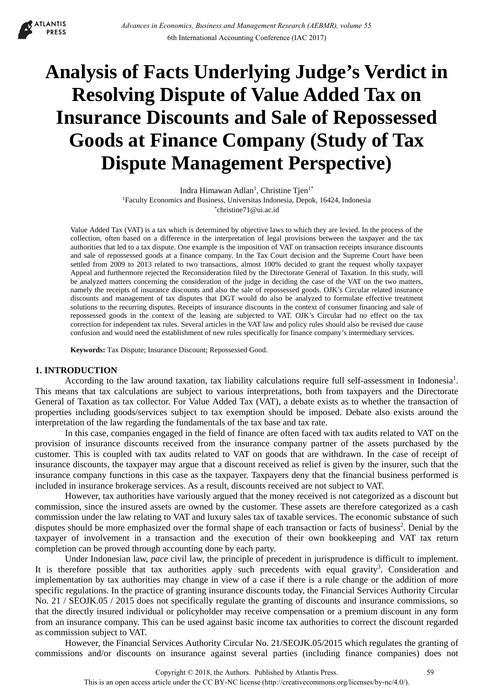**ATLANTIS PRESS** 

# **Analysis of Facts Underlying Judge's Verdict in Resolving Dispute of Value Added Tax on Insurance Discounts and Sale of Repossessed Goods at Finance Company (Study of Tax Dispute Management Perspective)**

Indra Himawan Adlan<sup>1</sup>, Christine Tjen<sup>1\*</sup> <sup>1</sup>Faculty Economics and Business, Universitas Indonesia, Depok, 16424, Indonesia \*christine71@ui.ac.id

Value Added Tax (VAT) is a tax which is determined by objective laws to which they are levied. In the process of the collection, often based on a difference in the interpretation of legal provisions between the taxpayer and the tax authorities that led to a tax dispute. One example is the imposition of VAT on transaction receipts insurance discounts and sale of repossessed goods at a finance company. In the Tax Court decision and the Supreme Court have been settled from 2009 to 2013 related to two transactions, almost 100% decided to grant the request wholly taxpayer Appeal and furthermore rejected the Reconsideration filed by the Directorate General of Taxation. In this study, will be analyzed matters concerning the consideration of the judge in deciding the case of the VAT on the two matters, namely the receipts of insurance discounts and also the sale of repossessed goods. OJK's Circular related insurance discounts and management of tax disputes that DGT would do also be analyzed to formulate effective treatment solutions to the recurring disputes. Receipts of insurance discounts in the context of consumer financing and sale of repossessed goods in the context of the leasing are subjected to VAT. OJK's Circular had no effect on the tax correction for independent tax rules. Several articles in the VAT law and policy rules should also be revised due cause confusion and would need the establishment of new rules specifically for finance company's intermediary services.

**Keywords:** Tax Dispute; Insurance Discount; Repossessed Good.

## **1. INTRODUCTION**

According to the law around taxation, tax liability calculations require full self-assessment in Indonesia<sup>1</sup>. This means that tax calculations are subject to various interpretations, both from taxpayers and the Directorate General of Taxation as tax collector. For Value Added Tax (VAT), a debate exists as to whether the transaction of properties including goods/services subject to tax exemption should be imposed. Debate also exists around the interpretation of the law regarding the fundamentals of the tax base and tax rate.

In this case, companies engaged in the field of finance are often faced with tax audits related to VAT on the provision of insurance discounts received from the insurance company partner of the assets purchased by the customer. This is coupled with tax audits related to VAT on goods that are withdrawn. In the case of receipt of insurance discounts, the taxpayer may argue that a discount received as relief is given by the insurer, such that the insurance company functions in this case as the taxpayer. Taxpayers deny that the financial business performed is included in insurance brokerage services. As a result, discounts received are not subject to VAT.

However, tax authorities have variously argued that the money received is not categorized as a discount but commission, since the insured assets are owned by the customer. These assets are therefore categorized as a cash commission under the law relating to VAT and luxury sales tax of taxable services. The economic substance of such disputes should be more emphasized over the formal shape of each transaction or facts of business<sup>2</sup>. Denial by the taxpayer of involvement in a transaction and the execution of their own bookkeeping and VAT tax return completion can be proved through accounting done by each party.

Under Indonesian law, *pace* civil law, the principle of precedent in jurisprudence is difficult to implement. It is therefore possible that tax authorities apply such precedents with equal gravity<sup>3</sup>. Consideration and implementation by tax authorities may change in view of a case if there is a rule change or the addition of more specific regulations. In the practice of granting insurance discounts today, the Financial Services Authority Circular No. 21 / SEOJK.05 / 2015 does not specifically regulate the granting of discounts and insurance commissions, so that the directly insured individual or policyholder may receive compensation or a premium discount in any form from an insurance company. This can be used against basic income tax authorities to correct the discount regarded as commission subject to VAT.

However, the Financial Services Authority Circular No. 21/SEOJK.05/2015 which regulates the granting of commissions and/or discounts on insurance against several parties (including finance companies) does not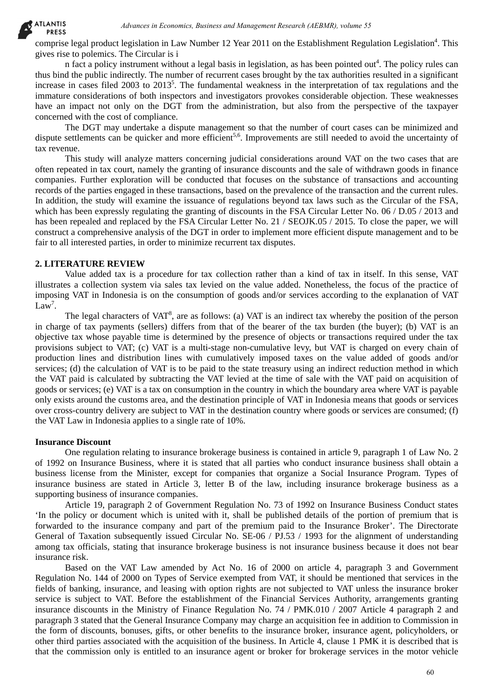comprise legal product legislation in Law Number 12 Year 2011 on the Establishment Regulation Legislation<sup>4</sup>. This gives rise to polemics. The Circular is i

n fact a policy instrument without a legal basis in legislation, as has been pointed out<sup>4</sup>. The policy rules can thus bind the public indirectly. The number of recurrent cases brought by the tax authorities resulted in a significant increase in cases filed  $2003$  to  $2013<sup>5</sup>$ . The fundamental weakness in the interpretation of tax regulations and the immature considerations of both inspectors and investigators provokes considerable objection. These weaknesses have an impact not only on the DGT from the administration, but also from the perspective of the taxpayer concerned with the cost of compliance.

The DGT may undertake a dispute management so that the number of court cases can be minimized and dispute settlements can be quicker and more efficient<sup>5,6</sup>. Improvements are still needed to avoid the uncertainty of tax revenue.

This study will analyze matters concerning judicial considerations around VAT on the two cases that are often repeated in tax court, namely the granting of insurance discounts and the sale of withdrawn goods in finance companies. Further exploration will be conducted that focuses on the substance of transactions and accounting records of the parties engaged in these transactions, based on the prevalence of the transaction and the current rules. In addition, the study will examine the issuance of regulations beyond tax laws such as the Circular of the FSA, which has been expressly regulating the granting of discounts in the FSA Circular Letter No. 06 / D.05 / 2013 and has been repealed and replaced by the FSA Circular Letter No. 21 / SEOJK.05 / 2015. To close the paper, we will construct a comprehensive analysis of the DGT in order to implement more efficient dispute management and to be fair to all interested parties, in order to minimize recurrent tax disputes.

# **2. LITERATURE REVIEW**

Value added tax is a procedure for tax collection rather than a kind of tax in itself. In this sense, VAT illustrates a collection system via sales tax levied on the value added. Nonetheless, the focus of the practice of imposing VAT in Indonesia is on the consumption of goods and/or services according to the explanation of VAT Law<sup>7</sup>.

The legal characters of VAT<sup>8</sup>, are as follows: (a) VAT is an indirect tax whereby the position of the person in charge of tax payments (sellers) differs from that of the bearer of the tax burden (the buyer); (b) VAT is an objective tax whose payable time is determined by the presence of objects or transactions required under the tax provisions subject to VAT; (c) VAT is a multi-stage non-cumulative levy, but VAT is charged on every chain of production lines and distribution lines with cumulatively imposed taxes on the value added of goods and/or services; (d) the calculation of VAT is to be paid to the state treasury using an indirect reduction method in which the VAT paid is calculated by subtracting the VAT levied at the time of sale with the VAT paid on acquisition of goods or services; (e) VAT is a tax on consumption in the country in which the boundary area where VAT is payable only exists around the customs area, and the destination principle of VAT in Indonesia means that goods or services over cross-country delivery are subject to VAT in the destination country where goods or services are consumed; (f) the VAT Law in Indonesia applies to a single rate of 10%. dones in Economics Business and Education and Business and Education in Economics Channel Channel Channel Channel Channel Channel Channel Channel Channel Channel Channel Channel Channel Channel Channel Channel Channel Chan

#### **Insurance Discount**

One regulation relating to insurance brokerage business is contained in article 9, paragraph 1 of Law No. 2 of 1992 on Insurance Business, where it is stated that all parties who conduct insurance business shall obtain a business license from the Minister, except for companies that organize a Social Insurance Program. Types of insurance business are stated in Article 3, letter B of the law, including insurance brokerage business as a supporting business of insurance companies.

Article 19, paragraph 2 of Government Regulation No. 73 of 1992 on Insurance Business Conduct states 'In the policy or document which is united with it, shall be published details of the portion of premium that is forwarded to the insurance company and part of the premium paid to the Insurance Broker'. The Directorate General of Taxation subsequently issued Circular No. SE-06 / PJ.53 / 1993 for the alignment of understanding among tax officials, stating that insurance brokerage business is not insurance business because it does not bear insurance risk.

Based on the VAT Law amended by Act No. 16 of 2000 on article 4, paragraph 3 and Government Regulation No. 144 of 2000 on Types of Service exempted from VAT, it should be mentioned that services in the fields of banking, insurance, and leasing with option rights are not subjected to VAT unless the insurance broker service is subject to VAT. Before the establishment of the Financial Services Authority, arrangements granting insurance discounts in the Ministry of Finance Regulation No. 74 / PMK.010 / 2007 Article 4 paragraph 2 and paragraph 3 stated that the General Insurance Company may charge an acquisition fee in addition to Commission in the form of discounts, bonuses, gifts, or other benefits to the insurance broker, insurance agent, policyholders, or other third parties associated with the acquisition of the business. In Article 4, clause 1 PMK it is described that is that the commission only is entitled to an insurance agent or broker for brokerage services in the motor vehicle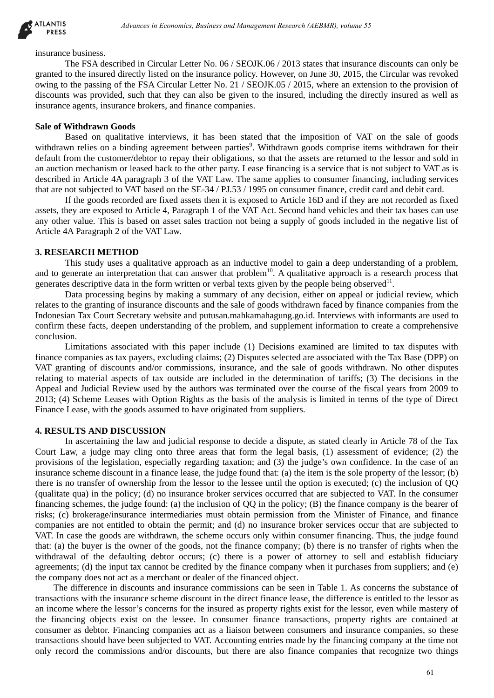

insurance business.

The FSA described in Circular Letter No. 06 / SEOJK.06 / 2013 states that insurance discounts can only be granted to the insured directly listed on the insurance policy. However, on June 30, 2015, the Circular was revoked owing to the passing of the FSA Circular Letter No. 21 / SEOJK.05 / 2015, where an extension to the provision of discounts was provided, such that they can also be given to the insured, including the directly insured as well as insurance agents, insurance brokers, and finance companies.

#### **Sale of Withdrawn Goods**

Based on qualitative interviews, it has been stated that the imposition of VAT on the sale of goods withdrawn relies on a binding agreement between parties<sup>9</sup>. Withdrawn goods comprise items withdrawn for their default from the customer/debtor to repay their obligations, so that the assets are returned to the lessor and sold in an auction mechanism or leased back to the other party. Lease financing is a service that is not subject to VAT as is described in Article 4A paragraph 3 of the VAT Law. The same applies to consumer financing, including services that are not subjected to VAT based on the SE-34 / PJ.53 / 1995 on consumer finance, credit card and debit card.

If the goods recorded are fixed assets then it is exposed to Article 16D and if they are not recorded as fixed assets, they are exposed to Article 4, Paragraph 1 of the VAT Act. Second hand vehicles and their tax bases can use any other value. This is based on asset sales traction not being a supply of goods included in the negative list of Article 4A Paragraph 2 of the VAT Law.

## **3. RESEARCH METHOD**

This study uses a qualitative approach as an inductive model to gain a deep understanding of a problem, and to generate an interpretation that can answer that problem<sup>10</sup>. A qualitative approach is a research process that generates descriptive data in the form written or verbal texts given by the people being observed $11$ .

Data processing begins by making a summary of any decision, either on appeal or judicial review, which relates to the granting of insurance discounts and the sale of goods withdrawn faced by finance companies from the Indonesian Tax Court Secretary website and putusan.mahkamahagung.go.id. Interviews with informants are used to confirm these facts, deepen understanding of the problem, and supplement information to create a comprehensive conclusion.

Limitations associated with this paper include (1) Decisions examined are limited to tax disputes with finance companies as tax payers, excluding claims; (2) Disputes selected are associated with the Tax Base (DPP) on VAT granting of discounts and/or commissions, insurance, and the sale of goods withdrawn. No other disputes relating to material aspects of tax outside are included in the determination of tariffs; (3) The decisions in the Appeal and Judicial Review used by the authors was terminated over the course of the fiscal years from 2009 to 2013; (4) Scheme Leases with Option Rights as the basis of the analysis is limited in terms of the type of Direct Finance Lease, with the goods assumed to have originated from suppliers.

# **4. RESULTS AND DISCUSSION**

In ascertaining the law and judicial response to decide a dispute, as stated clearly in Article 78 of the Tax Court Law, a judge may cling onto three areas that form the legal basis, (1) assessment of evidence; (2) the provisions of the legislation, especially regarding taxation; and (3) the judge's own confidence. In the case of an insurance scheme discount in a finance lease, the judge found that: (a) the item is the sole property of the lessor; (b) there is no transfer of ownership from the lessor to the lessee until the option is executed; (c) the inclusion of QQ (qualitate qua) in the policy; (d) no insurance broker services occurred that are subjected to VAT. In the consumer financing schemes, the judge found: (a) the inclusion of QQ in the policy; (B) the finance company is the bearer of risks; (c) brokerage/insurance intermediaries must obtain permission from the Minister of Finance, and finance companies are not entitled to obtain the permit; and (d) no insurance broker services occur that are subjected to VAT. In case the goods are withdrawn, the scheme occurs only within consumer financing. Thus, the judge found that: (a) the buyer is the owner of the goods, not the finance company; (b) there is no transfer of rights when the withdrawal of the defaulting debtor occurs; (c) there is a power of attorney to sell and establish fiduciary agreements; (d) the input tax cannot be credited by the finance company when it purchases from suppliers; and (e) the company does not act as a merchant or dealer of the financed object. debiases in Economics, Business and Management Research (AEBMR), volume 55<br>then in Circular Tatier No. 06 / SFOIR. (61/2013 states that instrame discounts can<br>interesting the control interest in the instance policy. Howeve

The difference in discounts and insurance commissions can be seen in Table 1. As concerns the substance of transactions with the insurance scheme discount in the direct finance lease, the difference is entitled to the lessor as an income where the lessor's concerns for the insured as property rights exist for the lessor, even while mastery of the financing objects exist on the lessee. In consumer finance transactions, property rights are contained at consumer as debtor. Financing companies act as a liaison between consumers and insurance companies, so these transactions should have been subjected to VAT. Accounting entries made by the financing company at the time not only record the commissions and/or discounts, but there are also finance companies that recognize two things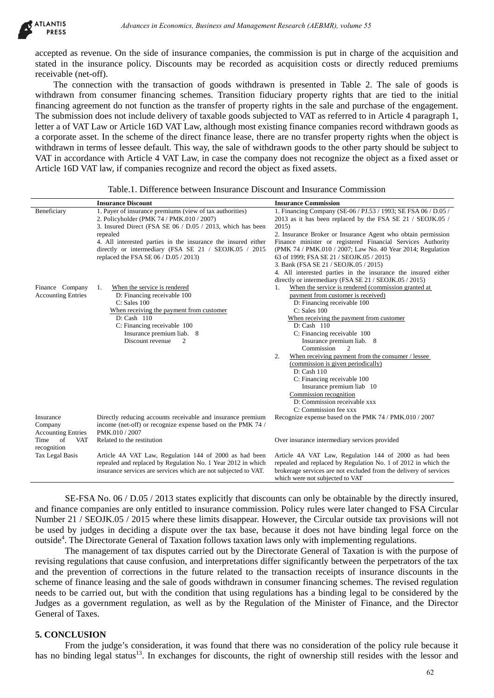

| AILANIIS<br><b>PRESS</b>                          | Advances in Economics, Business and Management Research (AEBMR), volume 55                                                                                                                |                                                                                                                                                                                                                                                                                                                                                                                                                                                                                                                                                                                                                                                                                                                                                                                                                                                                                                                                                                                                                                                                                                                                                                                      |
|---------------------------------------------------|-------------------------------------------------------------------------------------------------------------------------------------------------------------------------------------------|--------------------------------------------------------------------------------------------------------------------------------------------------------------------------------------------------------------------------------------------------------------------------------------------------------------------------------------------------------------------------------------------------------------------------------------------------------------------------------------------------------------------------------------------------------------------------------------------------------------------------------------------------------------------------------------------------------------------------------------------------------------------------------------------------------------------------------------------------------------------------------------------------------------------------------------------------------------------------------------------------------------------------------------------------------------------------------------------------------------------------------------------------------------------------------------|
| receivable (net-off).                             |                                                                                                                                                                                           | accepted as revenue. On the side of insurance companies, the commission is put in charge of the acquisition an<br>stated in the insurance policy. Discounts may be recorded as acquisition costs or directly reduced premium                                                                                                                                                                                                                                                                                                                                                                                                                                                                                                                                                                                                                                                                                                                                                                                                                                                                                                                                                         |
|                                                   |                                                                                                                                                                                           | The connection with the transaction of goods withdrawn is presented in Table 2. The sale of goods i<br>withdrawn from consumer financing schemes. Transition fiduciary property rights that are tied to the initial<br>financing agreement do not function as the transfer of property rights in the sale and purchase of the engagemen<br>The submission does not include delivery of taxable goods subjected to VAT as referred to in Article 4 paragraph<br>letter a of VAT Law or Article 16D VAT Law, although most existing finance companies record withdrawn goods a<br>a corporate asset. In the scheme of the direct finance lease, there are no transfer property rights when the object i                                                                                                                                                                                                                                                                                                                                                                                                                                                                                |
|                                                   | Article 16D VAT law, if companies recognize and record the object as fixed assets.                                                                                                        | withdrawn in terms of lessee default. This way, the sale of withdrawn goods to the other party should be subject t<br>VAT in accordance with Article 4 VAT Law, in case the company does not recognize the object as a fixed asset of                                                                                                                                                                                                                                                                                                                                                                                                                                                                                                                                                                                                                                                                                                                                                                                                                                                                                                                                                |
|                                                   | Table.1. Difference between Insurance Discount and Insurance Commission                                                                                                                   |                                                                                                                                                                                                                                                                                                                                                                                                                                                                                                                                                                                                                                                                                                                                                                                                                                                                                                                                                                                                                                                                                                                                                                                      |
|                                                   | <b>Insurance Discount</b>                                                                                                                                                                 | <b>Insurance Commission</b>                                                                                                                                                                                                                                                                                                                                                                                                                                                                                                                                                                                                                                                                                                                                                                                                                                                                                                                                                                                                                                                                                                                                                          |
| Beneficiary                                       | 1. Payer of insurance premiums (view of tax authorities)<br>2. Policyholder (PMK 74 / PMK.010 / 2007)<br>3. Insured Direct (FSA SE 06 / D.05 / 2013, which has been<br>repealed           | 1. Financing Company (SE-06 / PJ.53 / 1993; SE FSA 06 / D.05 /<br>2013 as it has been replaced by the FSA SE 21 / SEOJK.05 /<br>2015)<br>2. Insurance Broker or Insurance Agent who obtain permission                                                                                                                                                                                                                                                                                                                                                                                                                                                                                                                                                                                                                                                                                                                                                                                                                                                                                                                                                                                |
|                                                   | 4. All interested parties in the insurance the insured either<br>directly or intermediary (FSA SE 21 / SEOJK.05 / 2015<br>replaced the FSA SE $06 / D.05 / 2013$ )                        | Finance minister or registered Financial Services Authority<br>(PMK 74 / PMK.010 / 2007; Law No. 40 Year 2014; Regulation<br>63 of 1999; FSA SE 21 / SEOJK.05 / 2015)<br>3. Bank (FSA SE 21 / SEOJK.05 / 2015)                                                                                                                                                                                                                                                                                                                                                                                                                                                                                                                                                                                                                                                                                                                                                                                                                                                                                                                                                                       |
| Finance Company<br><b>Accounting Entries</b>      | When the service is rendered<br>1.<br>D: Financing receivable 100<br>C: Sales 100                                                                                                         | 4. All interested parties in the insurance the insured either<br>directly or intermediary (FSA SE 21 / SEOJK.05 / 2015)<br>When the service is rendered (commission granted at<br>1.<br>payment from customer is received)<br>D: Financing receivable 100                                                                                                                                                                                                                                                                                                                                                                                                                                                                                                                                                                                                                                                                                                                                                                                                                                                                                                                            |
|                                                   | When receiving the payment from customer<br>D: Cash 110<br>C: Financing receivable 100<br>Insurance premium liab. 8<br>Discount revenue<br>2                                              | C: Sales 100<br>When receiving the payment from customer<br>D: Cash 110<br>C: Financing receivable 100<br>Insurance premium liab. 8                                                                                                                                                                                                                                                                                                                                                                                                                                                                                                                                                                                                                                                                                                                                                                                                                                                                                                                                                                                                                                                  |
|                                                   |                                                                                                                                                                                           | Commission<br>2<br>2.<br>When receiving payment from the consumer / lessee<br>(commission is given periodically)<br>D: Cash 110<br>C: Financing receivable 100<br>Insurance premium liab 10<br>Commission recognition<br>D: Commission receivable xxx<br>C: Commission fee xxx                                                                                                                                                                                                                                                                                                                                                                                                                                                                                                                                                                                                                                                                                                                                                                                                                                                                                                       |
| Insurance<br>Company<br><b>Accounting Entries</b> | Directly reducing accounts receivable and insurance premium<br>income (net-off) or recognize expense based on the PMK 74 /<br>PMK.010 / 2007                                              | Recognize expense based on the PMK 74 / PMK.010 / 2007                                                                                                                                                                                                                                                                                                                                                                                                                                                                                                                                                                                                                                                                                                                                                                                                                                                                                                                                                                                                                                                                                                                               |
| Time<br><b>VAT</b><br>- of<br>recognition         | Related to the restitution                                                                                                                                                                | Over insurance intermediary services provided                                                                                                                                                                                                                                                                                                                                                                                                                                                                                                                                                                                                                                                                                                                                                                                                                                                                                                                                                                                                                                                                                                                                        |
| Tax Legal Basis                                   | Article 4A VAT Law, Regulation 144 of 2000 as had been<br>repealed and replaced by Regulation No. 1 Year 2012 in which<br>insurance services are services which are not subjected to VAT. | Article 4A VAT Law, Regulation 144 of 2000 as had been<br>repealed and replaced by Regulation No. 1 of 2012 in which the<br>brokerage services are not excluded from the delivery of services<br>which were not subjected to VAT                                                                                                                                                                                                                                                                                                                                                                                                                                                                                                                                                                                                                                                                                                                                                                                                                                                                                                                                                     |
| General of Taxes.<br><b>5. CONCLUSION</b>         | outside <sup>4</sup> . The Directorate General of Taxation follows taxation laws only with implementing regulations.                                                                      | SE-FSA No. 06 / D.05 / 2013 states explicitly that discounts can only be obtainable by the directly insured<br>and finance companies are only entitled to insurance commission. Policy rules were later changed to FSA Circula<br>Number 21 / SEOJK.05 / 2015 where these limits disappear. However, the Circular outside tax provisions will no<br>be used by judges in deciding a dispute over the tax base, because it does not have binding legal force on the<br>The management of tax disputes carried out by the Directorate General of Taxation is with the purpose of<br>revising regulations that cause confusion, and interpretations differ significantly between the perpetrators of the ta<br>and the prevention of corrections in the future related to the transaction receipts of insurance discounts in th<br>scheme of finance leasing and the sale of goods withdrawn in consumer financing schemes. The revised regulatio<br>needs to be carried out, but with the condition that using regulations has a binding legal to be considered by the<br>Judges as a government regulation, as well as by the Regulation of the Minister of Finance, and the Director |
|                                                   |                                                                                                                                                                                           | From the judge's consideration, it was found that there was no consideration of the policy rule because<br>has no binding legal status <sup>13</sup> . In exchanges for discounts, the right of ownership still resides with the lessor an                                                                                                                                                                                                                                                                                                                                                                                                                                                                                                                                                                                                                                                                                                                                                                                                                                                                                                                                           |
|                                                   |                                                                                                                                                                                           | 62                                                                                                                                                                                                                                                                                                                                                                                                                                                                                                                                                                                                                                                                                                                                                                                                                                                                                                                                                                                                                                                                                                                                                                                   |

## **5. CONCLUSION**